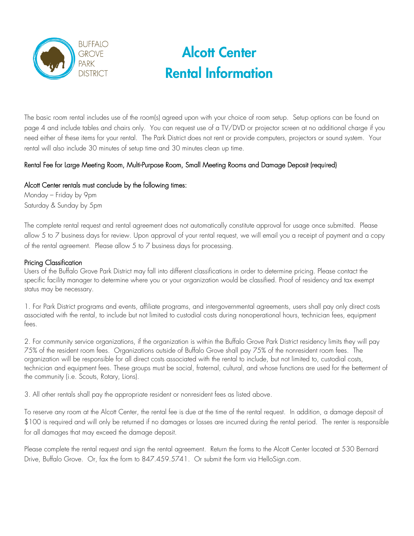

The basic room rental includes use of the room(s) agreed upon with your choice of room setup. Setup options can be found on page 4 and include tables and chairs only. You can request use of a TV/DVD or projector screen at no additional charge if you need either of these items for your rental. The Park District does not rent or provide computers, projectors or sound system. Your rental will also include 30 minutes of setup time and 30 minutes clean up time.

## Rental Fee for Large Meeting Room, Multi-Purpose Room, Small Meeting Rooms and Damage Deposit (required)

## Alcott Center rentals must conclude by the following times:

Monday – Friday by 9pm Saturday & Sunday by 5pm

The complete rental request and rental agreement does not automatically constitute approval for usage once submitted. Please allow 5 to 7 business days for review. Upon approval of your rental request, we will email you a receipt of payment and a copy of the rental agreement. Please allow 5 to 7 business days for processing.

## Pricing Classification

Users of the Buffalo Grove Park District may fall into different classifications in order to determine pricing. Please contact the specific facility manager to determine where you or your organization would be classified. Proof of residency and tax exempt status may be necessary.

1. For Park District programs and events, affiliate programs, and intergovernmental agreements, users shall pay only direct costs associated with the rental, to include but not limited to custodial costs during nonoperational hours, technician fees, equipment fees.

2. For community service organizations, if the organization is within the Buffalo Grove Park District residency limits they will pay 75% of the resident room fees. Organizations outside of Buffalo Grove shall pay 75% of the nonresident room fees. The organization will be responsible for all direct costs associated with the rental to include, but not limited to, custodial costs, technician and equipment fees. These groups must be social, fraternal, cultural, and whose functions are used for the betterment of the community (i.e. Scouts, Rotary, Lions).

3. All other rentals shall pay the appropriate resident or nonresident fees as listed above.

To reserve any room at the Alcott Center, the rental fee is due at the time of the rental request. In addition, a damage deposit of \$100 is required and will only be returned if no damages or losses are incurred during the rental period. The renter is responsible for all damages that may exceed the damage deposit.

Please complete the rental request and sign the rental agreement. Return the forms to the Alcott Center located at 530 Bernard Drive, Buffalo Grove. Or, fax the form to 847.459.5741. Or submit the form via HelloSign.com.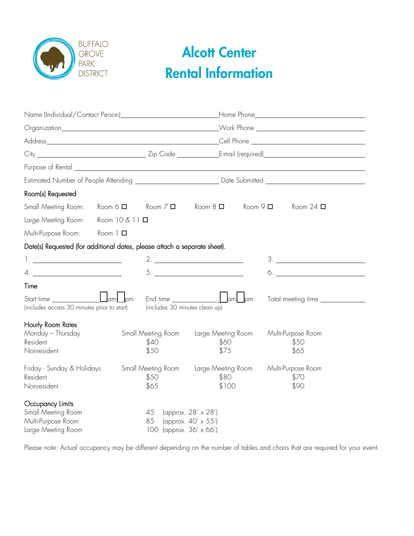

| Room(s) Requested                                                                  |                    |                                                                |                                                                   |              |                                       |  |
|------------------------------------------------------------------------------------|--------------------|----------------------------------------------------------------|-------------------------------------------------------------------|--------------|---------------------------------------|--|
| Small Meeting Room:                                                                | Room 6 $\Box$      | Room $7\Box$                                                   | Room $8\Box$                                                      | Room $9\Box$ | Room 24 $\square$                     |  |
| Large Meeting Room:                                                                | Room 10 & 11 □     |                                                                |                                                                   |              |                                       |  |
| Multi-Purpose Room:                                                                | $Room 1$ $\square$ |                                                                |                                                                   |              |                                       |  |
| Date(s) Requested (for additional dates, please attach a separate sheet).          |                    |                                                                |                                                                   |              |                                       |  |
|                                                                                    |                    |                                                                | 2.                                                                |              | $\begin{tabular}{c} 3. \end{tabular}$ |  |
| $\begin{array}{c} 4. \end{array}$                                                  |                    |                                                                |                                                                   |              | $\bullet.$                            |  |
| Time                                                                               |                    |                                                                |                                                                   |              |                                       |  |
| (includes access 30 minutes prior to start)                                        |                    | End time <b>Example 2014</b><br>(includes 30 minutes clean up) | $\Box$ am $\Box$ pm                                               |              | Total meeting time ______________     |  |
| Hourly Room Rates                                                                  |                    |                                                                |                                                                   |              |                                       |  |
| Monday - Thursday<br>Resident<br>Nonresident                                       |                    | Small Meeting Room<br>\$40<br>\$50                             | Large Meeting Room<br>\$60<br>\$75                                |              | Multi-Purpose Room<br>\$50<br>\$65    |  |
| Friday - Sunday & Holidays<br>Resident<br>Nonresident                              |                    | Small Meeting Room<br>\$50<br>\$65                             | Large Meeting Room<br>\$80<br>\$100                               |              | Multi-Purpose Room<br>\$70<br>\$90    |  |
| Occupancy Limits<br>Small Meeting Room<br>Multi-Purpose Room<br>Large Meeting Room |                    | 45<br>85<br>100                                                | (approx. 28' x 28')<br>(approx. 40' x 55')<br>(approx. 36' x 66') |              |                                       |  |

Please note: Actual occupancy may be different depending on the number of tables and chairs that are required for your event.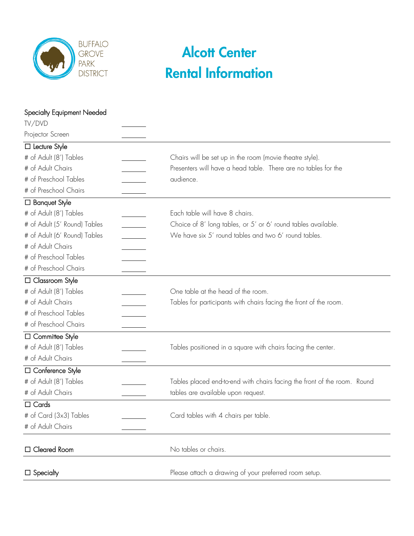

| <b>Specialty Equipment Needed</b> |                                                                          |  |  |
|-----------------------------------|--------------------------------------------------------------------------|--|--|
| TV/DVD                            |                                                                          |  |  |
| Projector Screen                  |                                                                          |  |  |
| $\Box$ Lecture Style              |                                                                          |  |  |
| # of Adult (8') Tables            | Chairs will be set up in the room (movie theatre style).                 |  |  |
| # of Adult Chairs                 | Presenters will have a head table. There are no tables for the           |  |  |
| # of Preschool Tables             | audience.                                                                |  |  |
| # of Preschool Chairs             |                                                                          |  |  |
| □ Banquet Style                   |                                                                          |  |  |
| # of Adult (8') Tables            | Each table will have 8 chairs.                                           |  |  |
| # of Adult (5' Round) Tables      | Choice of 8' long tables, or 5' or 6' round tables available.            |  |  |
| # of Adult (6' Round) Tables      | We have six 5' round tables and two 6' round tables.                     |  |  |
| # of Adult Chairs                 |                                                                          |  |  |
| # of Preschool Tables             |                                                                          |  |  |
| # of Preschool Chairs             |                                                                          |  |  |
| □ Classroom Style                 |                                                                          |  |  |
| # of Adult (8') Tables            | One table at the head of the room.                                       |  |  |
| # of Adult Chairs                 | Tables for participants with chairs facing the front of the room.        |  |  |
| # of Preschool Tables             |                                                                          |  |  |
| # of Preschool Chairs             |                                                                          |  |  |
| □ Committee Style                 |                                                                          |  |  |
| # of Adult (8') Tables            | Tables positioned in a square with chairs facing the center.             |  |  |
| # of Adult Chairs                 |                                                                          |  |  |
| □ Conference Style                |                                                                          |  |  |
| # of Adult (8') Tables            | Tables placed end-to-end with chairs facing the front of the room. Round |  |  |
| # of Adult Chairs                 | tables are available upon request.                                       |  |  |
| $\Box$ Cards                      |                                                                          |  |  |
| # of Card (3x3) Tables            | Card tables with 4 chairs per table.                                     |  |  |
| # of Adult Chairs                 |                                                                          |  |  |
| □ Cleared Room                    | No tables or chairs.                                                     |  |  |
| $\Box$ Specialty                  | Please attach a drawing of your preferred room setup.                    |  |  |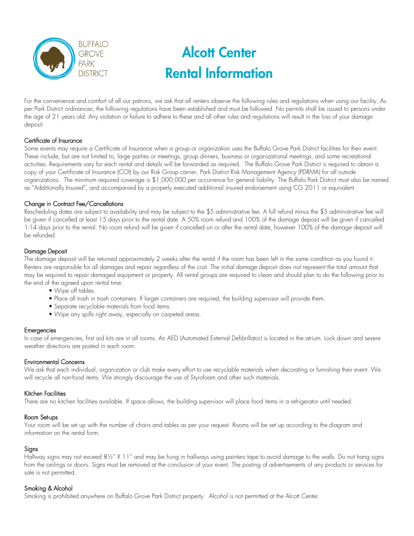

For the convenience and comfort of all our patrons, we ask that all renters observe the following rules and regulations when using our facility. As per Park District ordinances, the following regulations have been established and must be followed. No permits shall be issued to persons under the age of 21 years old. Any violation or failure to adhere to these and all other rules and regulations will result in the loss of your damage deposit.

### Certificate of Insurance

Some events may require a Certificate of Insurance when a group or organization uses the Buffalo Grove Park District facilities for their event. These include, but are not limited to, large parties or meetings, group dinners, business or organizational meetings, and some recreational activities. Requirements vary for each rental and details will be forwarded as required. The Buffalo Grove Park District is required to obtain a copy of your Certificate of Insurance (COI) by our Risk Group carrier, Park District Risk Management Agency (PDRMA) for all outside organizations. The minimum required coverage is \$1,000,000 per occurrence for general liability. The Buffalo Park District must also be named as "Additionally Insured", and accompanied by a properly executed additional insured endorsement using CG 2011 or equivalent.

#### Change in Contract Fee/Cancellations

Rescheduling dates are subject to availability and may be subject to the \$5 administrative fee. A full refund minus the \$5 administrative fee will be given if cancelled at least 15 days prior to the rental date. A 50% room refund and 100% of the damage deposit will be given if cancelled 1-14 days prior to the rental. No room refund will be given if cancelled on or after the rental date, however 100% of the damage deposit will be refunded.

### Damage Deposit

The damage deposit will be returned approximately 2 weeks after the rental if the room has been left in the same condition as you found it. Renters are responsible for all damages and repair regardless of the cost. The initial damage deposit does not represent the total amount that may be required to repair damaged equipment or property. All rental groups are required to clean and should plan to do the following prior to the end of the agreed upon rental time:

- Wipe off tables.
- Place all trash in trash containers. If larger containers are required, the building supervisor will provide them.
- Separate recyclable materials from food items.
- Wipe any spills right away, especially on carpeted areas.

#### Emergencies

In case of emergencies, first aid kits are in all rooms. An AED (Automated External Defibrillator) is located in the atrium. Lock down and severe weather directions are posted in each room.

#### Environmental Concerns

We ask that each individual, organization or club make every effort to use recyclable materials when decorating or furnishing their event. We will recycle all non-food items. We strongly discourage the use of Styrofoam and other such materials.

#### Kitchen Facilities

There are no kitchen facilities available. If space allows, the building supervisor will place food items in a refrigerator until needed.

### Room Set-ups

Your room will be set up with the number of chairs and tables as per your request. Rooms will be set up according to the diagram and information on the rental form.

### **Signs**

Hallway signs may not exceed 8½" X 11" and may be hung in hallways using painters tape to avoid damage to the walls. Do not hang signs from the ceilings or doors. Signs must be removed at the conclusion of your event. The posting of advertisements of any products or services for sale is not permitted.

#### Smoking & Alcohol

Smoking is prohibited anywhere on Buffalo Grove Park District property. Alcohol is not permitted at the Alcott Center.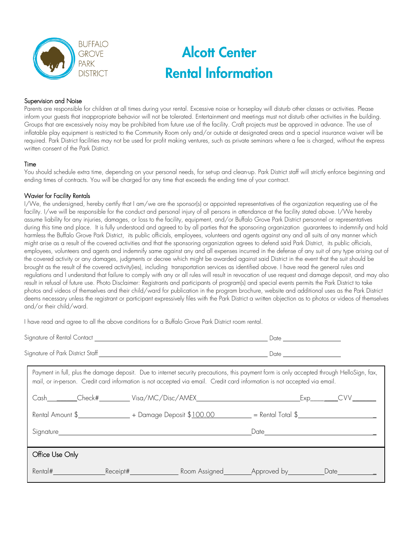

### Supervision and Noise

Parents are responsible for children at all times during your rental. Excessive noise or horseplay will disturb other classes or activities. Please inform your guests that inappropriate behavior will not be tolerated. Entertainment and meetings must not disturb other activities in the building. Groups that are excessively noisy may be prohibited from future use of the facility. Craft projects must be approved in advance. The use of inflatable play equipment is restricted to the Community Room only and/or outside at designated areas and a special insurance waiver will be required. Park District facilities may not be used for profit making ventures, such as private seminars where a fee is charged, without the express written consent of the Park District.

#### Time

You should schedule extra time, depending on your personal needs, for set-up and clean-up. Park District staff will strictly enforce beginning and ending times of contracts. You will be charged for any time that exceeds the ending time of your contract.

### Wavier for Facility Rentals

I/We, the undersigned, hereby certify that I am/we are the sponsor(s) or appointed representatives of the organization requesting use of the facility. I/we will be responsible for the conduct and personal injury of all persons in attendance at the facility stated above. I/We hereby assume liability for any injuries, damages, or loss to the facility, equipment, and/or Buffalo Grove Park District personnel or representatives during this time and place. It is fully understood and agreed to by all parties that the sponsoring organization guarantees to indemnify and hold harmless the Buffalo Grove Park District, its public officials, employees, volunteers and agents against any and all suits of any manner which might arise as a result of the covered activities and that the sponsoring organization agrees to defend said Park District, its public officials, employees, volunteers and agents and indemnify same against any and all expenses incurred in the defense of any suit of any type arising out of the covered activity or any damages, judgments or decree which might be awarded against said District in the event that the suit should be brought as the result of the covered activity(ies), including transportation services as identified above. I have read the general rules and regulations and I understand that failure to comply with any or all rules will result in revocation of use request and damage deposit, and may also result in refusal of future use. Photo Disclaimer: Registrants and participants of program(s) and special events permits the Park District to take photos and videos of themselves and their child/ward for publication in the program brochure, website and additional uses as the Park District deems necessary unless the registrant or participant expressively files with the Park District a written objection as to photos or videos of themselves and/or their child/ward.

I have read and agree to all the above conditions for a Buffalo Grove Park District room rental.

| Payment in full, plus the damage deposit. Due to internet security precautions, this payment form is only accepted through HelloSign, fax,<br>mail, or in-person. Credit card information is not accepted via email. Credit card information is not accepted via email. |  |
|-------------------------------------------------------------------------------------------------------------------------------------------------------------------------------------------------------------------------------------------------------------------------|--|
|                                                                                                                                                                                                                                                                         |  |
| Rental Amount $\frac{1}{2}$ + Damage Deposit $\frac{100.00}{2}$ = Rental Total $\frac{1}{2}$                                                                                                                                                                            |  |
| Signature experience and the state of the state of the state of the state of the state of the state of the state of the state of the state of the state of the state of the state of the state of the state of the state of th                                          |  |
| Office Use Only                                                                                                                                                                                                                                                         |  |
|                                                                                                                                                                                                                                                                         |  |